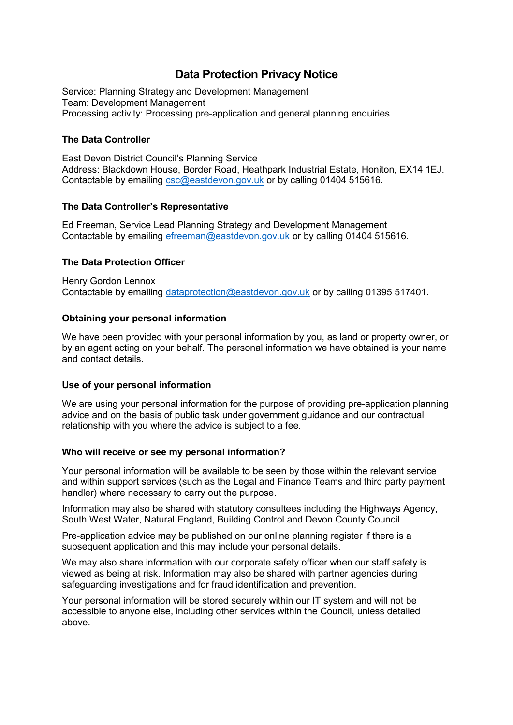# **Data Protection Privacy Notice**

Service: Planning Strategy and Development Management Team: Development Management Processing activity: Processing pre-application and general planning enquiries

## **The Data Controller**

East Devon District Council's Planning Service Address: Blackdown House, Border Road, Heathpark Industrial Estate, Honiton, EX14 1EJ. Contactable by emailing [csc@eastdevon.gov.uk](mailto:csc@eastdevon.gov.uk) or by calling 01404 515616.

## **The Data Controller's Representative**

Ed Freeman, Service Lead Planning Strategy and Development Management Contactable by emailing [efreeman@eastdevon.gov.uk](mailto:efreeman@eastdevon.gov.uk) or by calling 01404 515616.

## **The Data Protection Officer**

Henry Gordon Lennox Contactable by emailing [dataprotection@eastdevon.gov.uk](mailto:dataprotection@eastdevon.gov.uk) or by calling 01395 517401.

## **Obtaining your personal information**

We have been provided with your personal information by you, as land or property owner, or by an agent acting on your behalf. The personal information we have obtained is your name and contact details.

#### **Use of your personal information**

We are using your personal information for the purpose of providing pre-application planning advice and on the basis of public task under government guidance and our contractual relationship with you where the advice is subject to a fee.

#### **Who will receive or see my personal information?**

Your personal information will be available to be seen by those within the relevant service and within support services (such as the Legal and Finance Teams and third party payment handler) where necessary to carry out the purpose.

Information may also be shared with statutory consultees including the Highways Agency, South West Water, Natural England, Building Control and Devon County Council.

Pre-application advice may be published on our online planning register if there is a subsequent application and this may include your personal details.

We may also share information with our corporate safety officer when our staff safety is viewed as being at risk. Information may also be shared with partner agencies during safeguarding investigations and for fraud identification and prevention.

Your personal information will be stored securely within our IT system and will not be accessible to anyone else, including other services within the Council, unless detailed above.